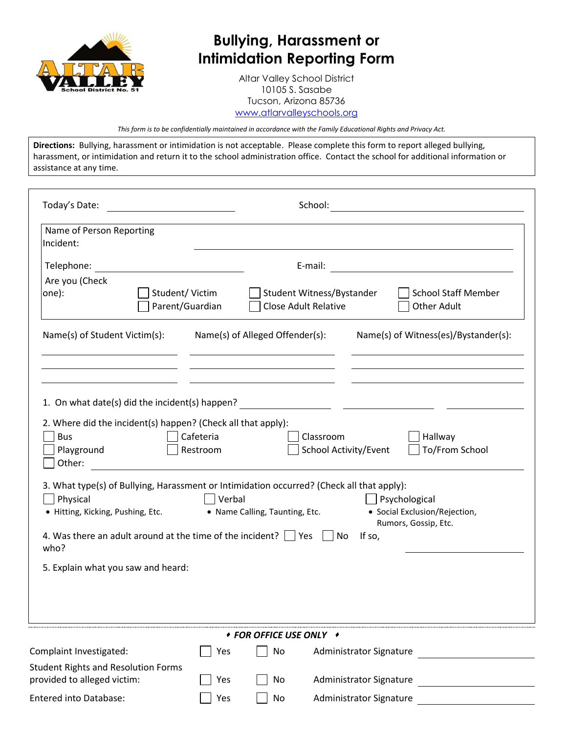

## **Bullying, Harassment or Intimidation Reporting Form**

Altar Valley School District 10105 S. Sasabe Tucson, Arizona 85736 [www.atlarvalleyschools.org](http://www.atlarvalleyschools.org/)

*This form is to be confidentially maintained in accordance with the Family Educational Rights and Privacy Act.*

**Directions:** Bullying, harassment or intimidation is not acceptable. Please complete this form to report alleged bullying, harassment, or intimidation and return it to the school administration office. Contact the school for additional information or assistance at any time.

| Today's Date:                                                                                                                                                                                                                                                                                                                                                                                                                                                                                       |                       |                                 | School:                                                                                                                        |  |
|-----------------------------------------------------------------------------------------------------------------------------------------------------------------------------------------------------------------------------------------------------------------------------------------------------------------------------------------------------------------------------------------------------------------------------------------------------------------------------------------------------|-----------------------|---------------------------------|--------------------------------------------------------------------------------------------------------------------------------|--|
| Name of Person Reporting<br>Incident:                                                                                                                                                                                                                                                                                                                                                                                                                                                               |                       |                                 |                                                                                                                                |  |
| Telephone:                                                                                                                                                                                                                                                                                                                                                                                                                                                                                          |                       |                                 | E-mail:                                                                                                                        |  |
| Are you (Check<br>Student/Victim<br>one):<br>Parent/Guardian                                                                                                                                                                                                                                                                                                                                                                                                                                        |                       |                                 | <b>School Staff Member</b><br>Student Witness/Bystander<br><b>Close Adult Relative</b><br><b>Other Adult</b>                   |  |
| Name(s) of Student Victim(s):                                                                                                                                                                                                                                                                                                                                                                                                                                                                       |                       | Name(s) of Alleged Offender(s): | Name(s) of Witness(es)/Bystander(s):                                                                                           |  |
| 1. On what date(s) did the incident(s) happen?<br>2. Where did the incident(s) happen? (Check all that apply):<br><b>Bus</b><br>Playground<br>Other:                                                                                                                                                                                                                                                                                                                                                | Cafeteria<br>Restroom |                                 | <u> 1999 - Johann Stoff, Amerikaansk politiker (</u><br>Classroom<br>Hallway<br>To/From School<br><b>School Activity/Event</b> |  |
| <u> 1989 - Johann Stein, fransk kampens og det forskellige og det forskellige og det forskellige og det forskellig</u><br>3. What type(s) of Bullying, Harassment or Intimidation occurred? (Check all that apply):<br>Physical<br>Verbal<br>Psychological<br>• Social Exclusion/Rejection,<br>• Name Calling, Taunting, Etc.<br>• Hitting, Kicking, Pushing, Etc.<br>Rumors, Gossip, Etc.<br>4. Was there an adult around at the time of the incident? $\vert \ \vert$ Yes<br>If so,<br>No<br>who? |                       |                                 |                                                                                                                                |  |
| 5. Explain what you saw and heard:                                                                                                                                                                                                                                                                                                                                                                                                                                                                  |                       |                                 |                                                                                                                                |  |
| <i>◆ FOR OFFICE USE ONLY ◆</i>                                                                                                                                                                                                                                                                                                                                                                                                                                                                      |                       |                                 |                                                                                                                                |  |
| Complaint Investigated:                                                                                                                                                                                                                                                                                                                                                                                                                                                                             | Yes                   | No                              | Administrator Signature                                                                                                        |  |
| <b>Student Rights and Resolution Forms</b><br>provided to alleged victim:                                                                                                                                                                                                                                                                                                                                                                                                                           | Yes                   | No                              | Administrator Signature                                                                                                        |  |
| Entered into Database:                                                                                                                                                                                                                                                                                                                                                                                                                                                                              | Yes                   | No                              | Administrator Signature                                                                                                        |  |
|                                                                                                                                                                                                                                                                                                                                                                                                                                                                                                     |                       |                                 |                                                                                                                                |  |